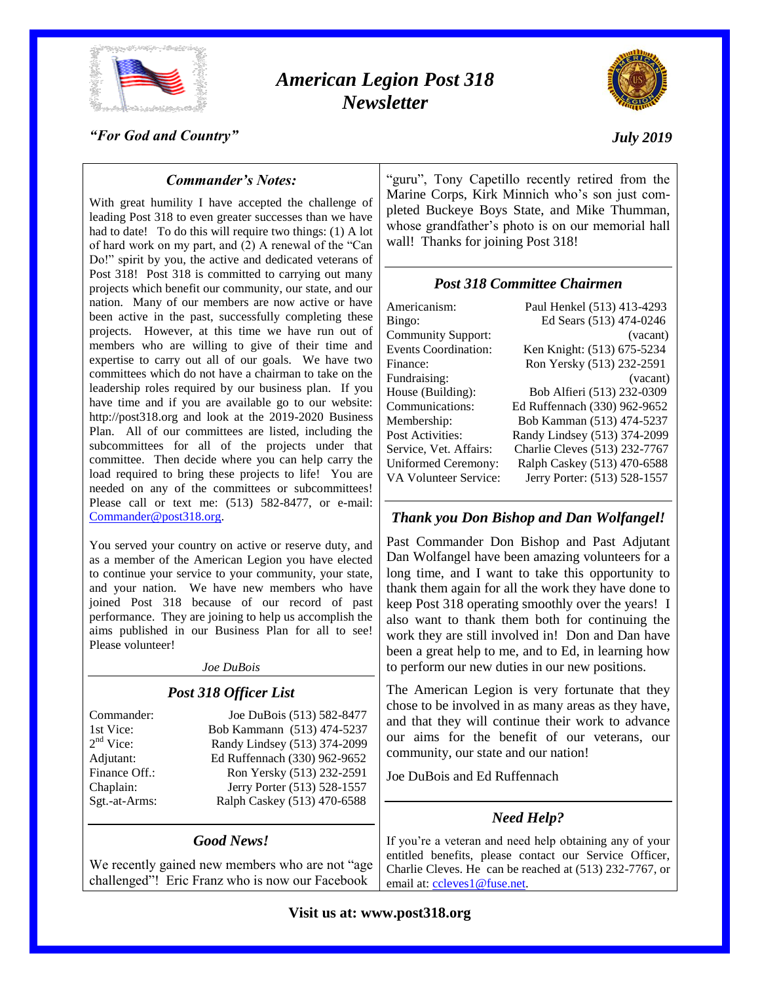

# *American Legion Post 318 Newsletter*



#### *"For God and Country"*

### *July 2019*

### *Commander's Notes:*

With great humility I have accepted the challenge of leading Post 318 to even greater successes than we have had to date! To do this will require two things: (1) A lot of hard work on my part, and (2) A renewal of the "Can Do!" spirit by you, the active and dedicated veterans of Post 318! Post 318 is committed to carrying out many projects which benefit our community, our state, and our nation. Many of our members are now active or have been active in the past, successfully completing these projects. However, at this time we have run out of members who are willing to give of their time and expertise to carry out all of our goals. We have two committees which do not have a chairman to take on the leadership roles required by our business plan. If you have time and if you are available go to our website: http://post318.org and look at the 2019-2020 Business Plan. All of our committees are listed, including the subcommittees for all of the projects under that committee. Then decide where you can help carry the load required to bring these projects to life! You are needed on any of the committees or subcommittees! Please call or text me: (513) 582-8477, or e-mail: [Commander@post318.org.](mailto:Commander@post318.org)

You served your country on active or reserve duty, and as a member of the American Legion you have elected to continue your service to your community, your state, and your nation. We have new members who have joined Post 318 because of our record of past performance. They are joining to help us accomplish the aims published in our Business Plan for all to see! Please volunteer!

## *Joe DuBois*

# *Post 318 Officer List* Commander: Joe DuBois (513) 582-8477 1st Vice: Bob Kammann (513) 474-5237

 $2<sup>nd</sup>$  Vice:

Randy Lindsey (513) 374-2099 Adjutant: Ed Ruffennach (330) 962-9652 Finance Off.: Ron Yersky (513) 232-2591 Chaplain: Jerry Porter (513) 528-1557 Sgt.-at-Arms: Ralph Caskey (513) 470-6588

### *Good News!*

We recently gained new members who are not "age challenged"! Eric Franz who is now our Facebook

"guru", Tony Capetillo recently retired from the Marine Corps, Kirk Minnich who's son just completed Buckeye Boys State, and Mike Thumman, whose grandfather's photo is on our memorial hall wall! Thanks for joining Post 318!

### *Post 318 Committee Chairmen*

| Americanism:                | Paul Henkel (513) 413-4293    |
|-----------------------------|-------------------------------|
| Bingo:                      | Ed Sears (513) 474-0246       |
| <b>Community Support:</b>   | (vacant)                      |
| <b>Events Coordination:</b> | Ken Knight: (513) 675-5234    |
| Finance:                    | Ron Yersky (513) 232-2591     |
| Fundraising:                | (vacant)                      |
| House (Building):           | Bob Alfieri (513) 232-0309    |
| Communications:             | Ed Ruffennach (330) 962-9652  |
| Membership:                 | Bob Kamman (513) 474-5237     |
| Post Activities:            | Randy Lindsey (513) 374-2099  |
| Service, Vet. Affairs:      | Charlie Cleves (513) 232-7767 |
| <b>Uniformed Ceremony:</b>  | Ralph Caskey (513) 470-6588   |
| VA Volunteer Service:       | Jerry Porter: (513) 528-1557  |
|                             |                               |

## *Thank you Don Bishop and Dan Wolfangel!*

Past Commander Don Bishop and Past Adjutant Dan Wolfangel have been amazing volunteers for a long time, and I want to take this opportunity to thank them again for all the work they have done to keep Post 318 operating smoothly over the years! I also want to thank them both for continuing the work they are still involved in! Don and Dan have been a great help to me, and to Ed, in learning how to perform our new duties in our new positions.

The American Legion is very fortunate that they chose to be involved in as many areas as they have, and that they will continue their work to advance our aims for the benefit of our veterans, our community, our state and our nation!

Joe DuBois and Ed Ruffennach

### *Need Help?*

If you're a veteran and need help obtaining any of your entitled benefits, please contact our Service Officer, Charlie Cleves. He can be reached at (513) 232-7767, or email at: [ccleves1@fuse.net.](mailto:ccleves1@fuse.net)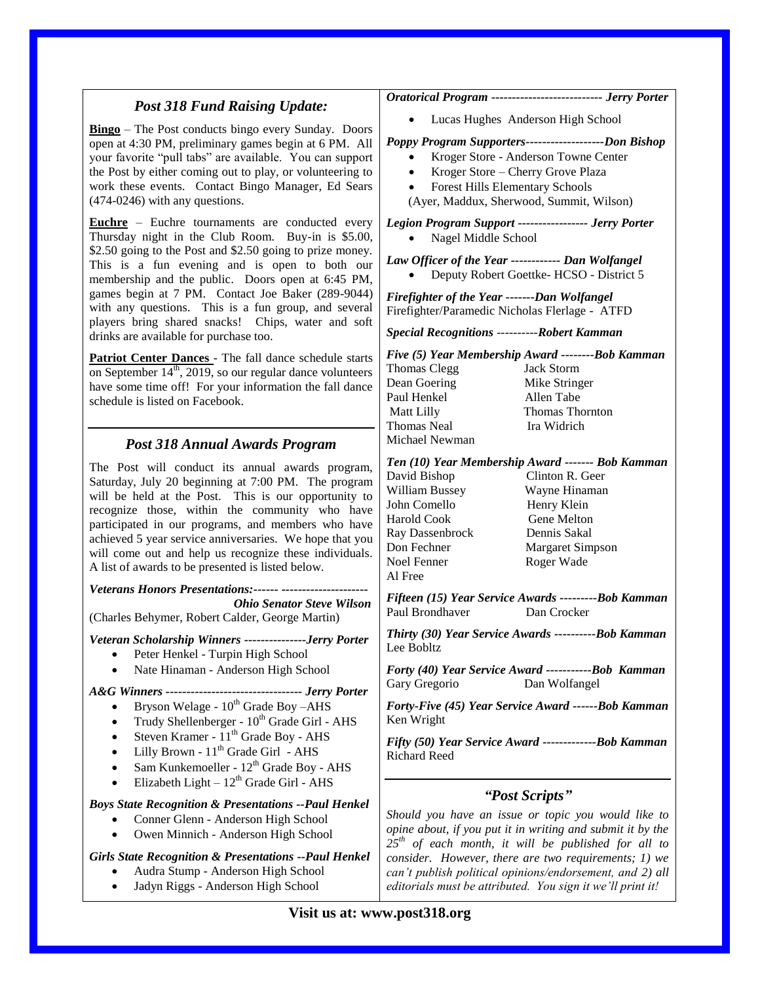|                                                                                                                                                                                                                                                                                                                                                                                                                                                                                              | Oratorical Program --------------------------- Jerry Porter                                                                                                                                                                                                                                                                                                                    |
|----------------------------------------------------------------------------------------------------------------------------------------------------------------------------------------------------------------------------------------------------------------------------------------------------------------------------------------------------------------------------------------------------------------------------------------------------------------------------------------------|--------------------------------------------------------------------------------------------------------------------------------------------------------------------------------------------------------------------------------------------------------------------------------------------------------------------------------------------------------------------------------|
| <b>Post 318 Fund Raising Update:</b>                                                                                                                                                                                                                                                                                                                                                                                                                                                         |                                                                                                                                                                                                                                                                                                                                                                                |
| <b>Bingo</b> – The Post conducts bingo every Sunday. Doors<br>open at 4:30 PM, preliminary games begin at 6 PM. All<br>your favorite "pull tabs" are available. You can support<br>the Post by either coming out to play, or volunteering to<br>work these events. Contact Bingo Manager, Ed Sears<br>$(474-0246)$ with any questions.                                                                                                                                                       | Lucas Hughes Anderson High School<br>Poppy Program Supporters---------------------Don Bishop<br>Kroger Store - Anderson Towne Center<br>$\bullet$<br>Kroger Store - Cherry Grove Plaza<br>$\bullet$<br><b>Forest Hills Elementary Schools</b><br>$\bullet$<br>(Ayer, Maddux, Sherwood, Summit, Wilson)                                                                         |
| <b>Euchre</b> – Euchre tournaments are conducted every<br>Thursday night in the Club Room. Buy-in is \$5.00,<br>\$2.50 going to the Post and \$2.50 going to prize money.<br>This is a fun evening and is open to both our<br>membership and the public. Doors open at 6:45 PM,<br>games begin at 7 PM. Contact Joe Baker (289-9044)<br>with any questions. This is a fun group, and several<br>players bring shared snacks! Chips, water and soft<br>drinks are available for purchase too. | Legion Program Support ----------------- Jerry Porter<br>Nagel Middle School<br>Law Officer of the Year ------------ Dan Wolfangel<br>Deputy Robert Goettke-HCSO - District 5<br>Firefighter of the Year -------Dan Wolfangel<br>Firefighter/Paramedic Nicholas Flerlage - ATFD<br><b>Special Recognitions ----------Robert Kamman</b>                                         |
| Patriot Center Dances - The fall dance schedule starts<br>on September $14th$ , 2019, so our regular dance volunteers<br>have some time off! For your information the fall dance<br>schedule is listed on Facebook.                                                                                                                                                                                                                                                                          | Five (5) Year Membership Award --------Bob Kamman<br>Thomas Clegg<br><b>Jack Storm</b><br>Dean Goering<br>Mike Stringer<br>Paul Henkel<br>Allen Tabe<br>Thomas Thornton<br>Matt Lilly<br>Thomas Neal<br>Ira Widrich                                                                                                                                                            |
| <b>Post 318 Annual Awards Program</b>                                                                                                                                                                                                                                                                                                                                                                                                                                                        | Michael Newman                                                                                                                                                                                                                                                                                                                                                                 |
| The Post will conduct its annual awards program,<br>Saturday, July 20 beginning at 7:00 PM. The program<br>will be held at the Post. This is our opportunity to<br>recognize those, within the community who have<br>participated in our programs, and members who have<br>achieved 5 year service anniversaries. We hope that you<br>will come out and help us recognize these individuals.<br>A list of awards to be presented is listed below.                                            | Ten (10) Year Membership Award ------- Bob Kamman<br>David Bishop<br>Clinton R. Geer<br>William Bussey<br>Wayne Hinaman<br>John Comello<br>Henry Klein<br>Harold Cook<br>Gene Melton<br>Ray Dassenbrock<br>Dennis Sakal<br>Don Fechner<br>Margaret Simpson<br>Noel Fenner<br>Roger Wade<br>Al Free                                                                             |
| Veterans Honors Presentations:------ ----------------------                                                                                                                                                                                                                                                                                                                                                                                                                                  | Fifteen (15) Year Service Awards ----------Bob Kamman                                                                                                                                                                                                                                                                                                                          |
| <b>Ohio Senator Steve Wilson</b><br>(Charles Behymer, Robert Calder, George Martin)                                                                                                                                                                                                                                                                                                                                                                                                          | Paul Brondhaver<br>Dan Crocker                                                                                                                                                                                                                                                                                                                                                 |
| Veteran Scholarship Winners ---------------Jerry Porter<br>Peter Henkel - Turpin High School                                                                                                                                                                                                                                                                                                                                                                                                 | Thirty (30) Year Service Awards ----------Bob Kamman<br>Lee Bobltz                                                                                                                                                                                                                                                                                                             |
| Nate Hinaman - Anderson High School                                                                                                                                                                                                                                                                                                                                                                                                                                                          | Forty (40) Year Service Award ------------Bob Kamman<br>Dan Wolfangel<br>Gary Gregorio                                                                                                                                                                                                                                                                                         |
| A&G Winners --------------------------------- Jerry Porter<br>Bryson Welage - 10 <sup>th</sup> Grade Boy -AHS<br>Trudy Shellenberger - 10 <sup>th</sup> Grade Girl - AHS<br>Steven Kramer - 11 <sup>th</sup> Grade Boy - AHS<br>Lilly Brown - 11 <sup>th</sup> Grade Girl - AHS<br>Sam Kunkemoeller - 12 <sup>th</sup> Grade Boy - AHS<br>Elizabeth Light $-12^{th}$ Grade Girl - AHS                                                                                                        | Forty-Five (45) Year Service Award ------Bob Kamman<br>Ken Wright<br>Fifty (50) Year Service Award ---------------Bob Kamman<br><b>Richard Reed</b>                                                                                                                                                                                                                            |
| <b>Boys State Recognition &amp; Presentations --Paul Henkel</b><br>Conner Glenn - Anderson High School<br>Owen Minnich - Anderson High School<br><b>Girls State Recognition &amp; Presentations --Paul Henkel</b><br>Audra Stump - Anderson High School<br>Jadyn Riggs - Anderson High School                                                                                                                                                                                                | "Post Scripts"<br>Should you have an issue or topic you would like to<br>opine about, if you put it in writing and submit it by the<br>$25th$ of each month, it will be published for all to<br>consider. However, there are two requirements; 1) we<br>can't publish political opinions/endorsement, and 2) all<br>editorials must be attributed. You sign it we'll print it! |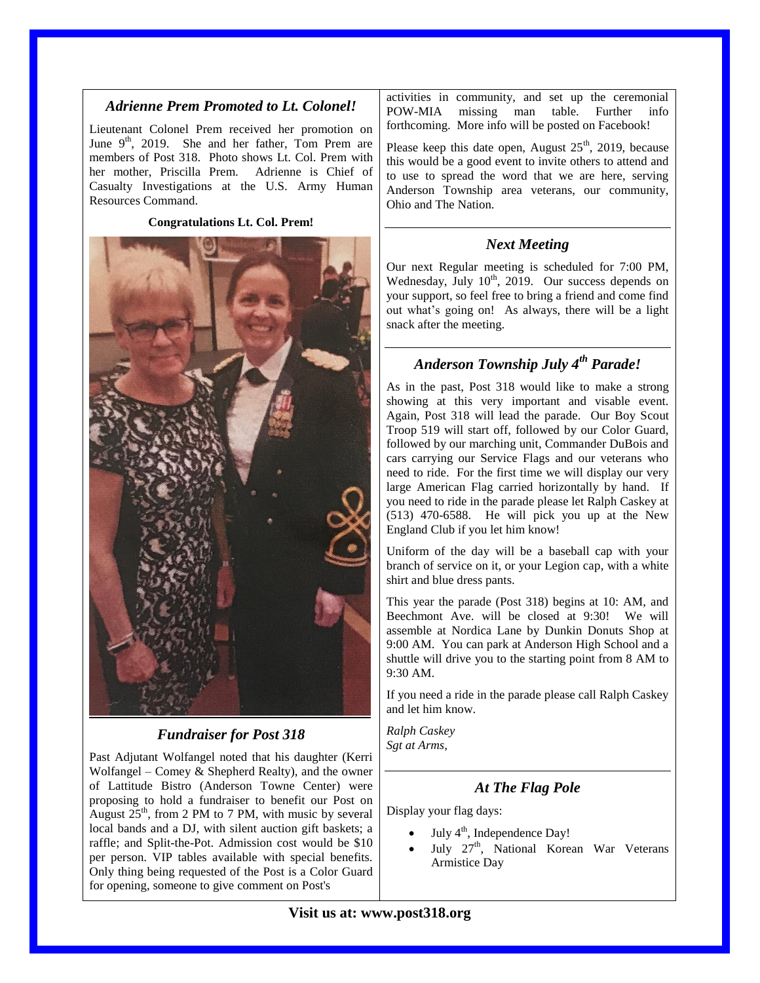#### *Adrienne Prem Promoted to Lt. Colonel!*

Lieutenant Colonel Prem received her promotion on June  $9<sup>th</sup>$ , 2019. She and her father, Tom Prem are members of Post 318. Photo shows Lt. Col. Prem with her mother, Priscilla Prem. Adrienne is Chief of Casualty Investigations at the U.S. Army Human Resources Command.

**Congratulations Lt. Col. Prem!**



### *Fundraiser for Post 318*

Past Adjutant Wolfangel noted that his daughter (Kerri Wolfangel – Comey & Shepherd Realty), and the owner of Lattitude Bistro (Anderson Towne Center) were proposing to hold a fundraiser to benefit our Post on August  $25<sup>th</sup>$ , from 2 PM to 7 PM, with music by several local bands and a DJ, with silent auction gift baskets; a raffle; and Split-the-Pot. Admission cost would be \$10 per person. VIP tables available with special benefits. Only thing being requested of the Post is a Color Guard for opening, someone to give comment on Post's

activities in community, and set up the ceremonial POW-MIA missing man table. Further info forthcoming. More info will be posted on Facebook!

Please keep this date open, August  $25<sup>th</sup>$ , 2019, because this would be a good event to invite others to attend and to use to spread the word that we are here, serving Anderson Township area veterans, our community, Ohio and The Nation.

### *Next Meeting*

Our next Regular meeting is scheduled for 7:00 PM, Wednesday, July  $10^{th}$ ,  $2019$ . Our success depends on your support, so feel free to bring a friend and come find out what's going on! As always, there will be a light snack after the meeting.

## *Anderson Township July 4th Parade!*

As in the past, Post 318 would like to make a strong showing at this very important and visable event. Again, Post 318 will lead the parade. Our Boy Scout Troop 519 will start off, followed by our Color Guard, followed by our marching unit, Commander DuBois and cars carrying our Service Flags and our veterans who need to ride. For the first time we will display our very large American Flag carried horizontally by hand. If you need to ride in the parade please let Ralph Caskey at (513) 470-6588. He will pick you up at the New England Club if you let him know!

Uniform of the day will be a baseball cap with your branch of service on it, or your Legion cap, with a white shirt and blue dress pants.

This year the parade (Post 318) begins at 10: AM, and Beechmont Ave. will be closed at 9:30! We will assemble at Nordica Lane by Dunkin Donuts Shop at 9:00 AM. You can park at Anderson High School and a shuttle will drive you to the starting point from 8 AM to 9:30 AM.

If you need a ride in the parade please call Ralph Caskey and let him know.

*Ralph Caskey Sgt at Arms,*

### *At The Flag Pole*

Display your flag days:

- July 4<sup>th</sup>, Independence Day!
- July 27<sup>th</sup>, National Korean War Veterans Armistice Day